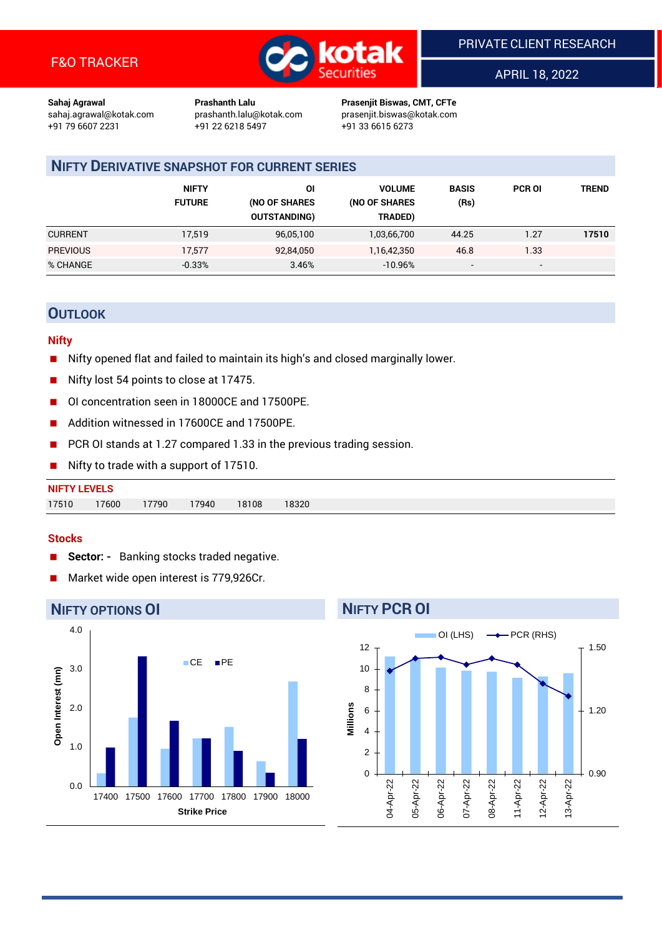

APRIL 18, 2022

**Sahaj Agrawal Prashanth Lalu Prasenjit Biswas, CMT, CFTe** +91 22 6218 5497 +91 33 6615 6273

sahaj.agrawal@kotak.com [prashanth.lalu@kotak.com](mailto:prashanth.lalu@kotak.com) prasenjit.biswas@kotak.com

## **NIFTY DERIVATIVE SNAPSHOT FOR CURRENT SERIES**

|                 | <b>NIFTY</b><br><b>FUTURE</b> | ΟI<br>(NO OF SHARES<br><b>OUTSTANDING)</b> | <b>VOLUME</b><br>(NO OF SHARES<br>TRADED) | <b>BASIS</b><br>(Rs)     | <b>PCR OI</b> | TREND |
|-----------------|-------------------------------|--------------------------------------------|-------------------------------------------|--------------------------|---------------|-------|
| <b>CURRENT</b>  | 17.519                        | 96,05,100                                  | 1,03,66,700                               | 44.25                    | 1.27          | 17510 |
| <b>PREVIOUS</b> | 17.577                        | 92,84,050                                  | 1,16,42,350                               | 46.8                     | 1.33          |       |
| % CHANGE        | $-0.33%$                      | 3.46%                                      | $-10.96%$                                 | $\overline{\phantom{a}}$ | -             |       |

## **OUTLOOK**

#### **Nifty**

- Nifty opened flat and failed to maintain its high's and closed marginally lower.
- Nifty lost 54 points to close at 17475.
- OI concentration seen in 18000CE and 17500PE.
- Addition witnessed in 17600CE and 17500PE.
- PCR OI stands at 1.27 compared 1.33 in the previous trading session.
- Nifty to trade with a support of 17510.

| <b>NIFTY LEVELS</b> |       |       |       |       |       |
|---------------------|-------|-------|-------|-------|-------|
| 17510               | 17600 | 17790 | 17940 | 18108 | 18320 |

#### **Stocks**

- Sector: Banking stocks traded negative.
- Market wide open interest is 779,926Cr.



# **NIFTY PCR OI**

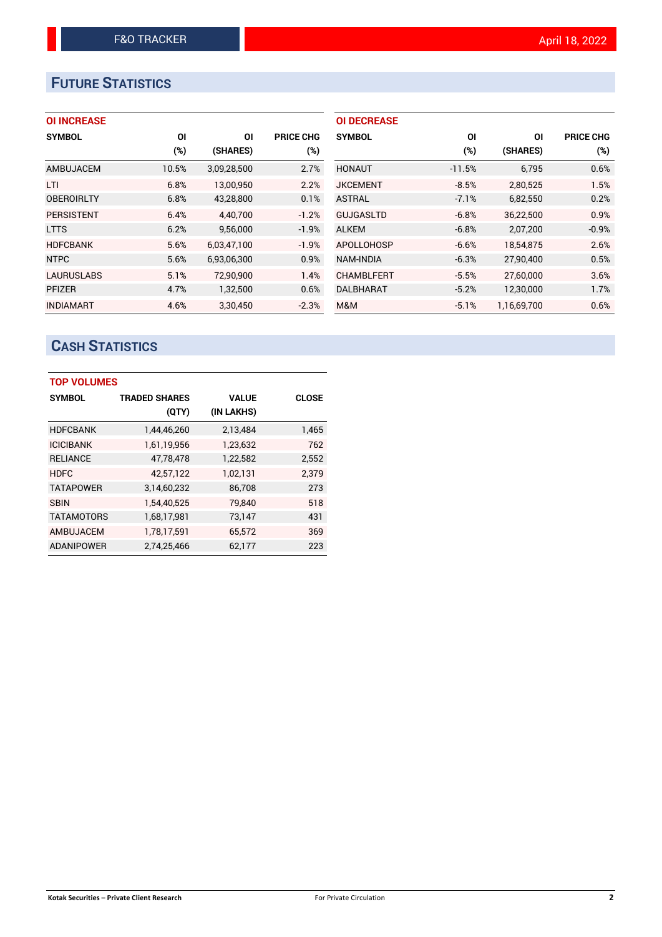# **FUTURE STATISTICS**

|  | <b>OI INCREASE</b> |  |
|--|--------------------|--|
|  |                    |  |

| <b>SYMBOL</b>     | ΟI    | ΟI          | <b>PRICE CHG</b> |
|-------------------|-------|-------------|------------------|
|                   | (%)   | (SHARES)    | $(\%)$           |
| AMBUJACEM         | 10.5% | 3,09,28,500 | 2.7%             |
| LTI               | 6.8%  | 13,00,950   | 2.2%             |
| <b>OBEROIRLTY</b> | 6.8%  | 43,28,800   | 0.1%             |
| <b>PERSISTENT</b> | 6.4%  | 4,40,700    | $-1.2%$          |
| <b>LTTS</b>       | 6.2%  | 9,56,000    | $-1.9%$          |
| <b>HDFCBANK</b>   | 5.6%  | 6.03.47.100 | $-1.9%$          |
| <b>NTPC</b>       | 5.6%  | 6,93,06,300 | 0.9%             |
| <b>LAURUSLABS</b> | 5.1%  | 72,90,900   | 1.4%             |
| <b>PFIZER</b>     | 4.7%  | 1,32,500    | 0.6%             |
| <b>INDIAMART</b>  | 4.6%  | 3.30.450    | $-2.3%$          |

| <b>OI DECREASE</b> |          |             |                  |
|--------------------|----------|-------------|------------------|
| <b>SYMBOL</b>      | ΟI       | ΩI          | <b>PRICE CHG</b> |
|                    | (%)      | (SHARES)    | (%)              |
| <b>HONAUT</b>      | $-11.5%$ | 6,795       | 0.6%             |
| <b>JKCEMENT</b>    | $-8.5%$  | 2,80,525    | 1.5%             |
| <b>ASTRAL</b>      | $-7.1%$  | 6,82,550    | 0.2%             |
| <b>GUJGASLTD</b>   | $-6.8%$  | 36,22,500   | 0.9%             |
| <b>ALKEM</b>       | $-6.8%$  | 2,07,200    | $-0.9%$          |
| APOLLOHOSP         | $-6.6%$  | 18,54,875   | 2.6%             |
| NAM-INDIA          | $-6.3%$  | 27,90,400   | 0.5%             |
| <b>CHAMBLFERT</b>  | $-5.5%$  | 27,60,000   | 3.6%             |
| DALBHARAT          | $-5.2%$  | 12,30,000   | 1.7%             |
| M&M                | $-5.1%$  | 1,16,69,700 | 0.6%             |

# **CASH STATISTICS**

| <b>TOP VOLUMES</b> |                      |              |              |  |  |  |  |  |
|--------------------|----------------------|--------------|--------------|--|--|--|--|--|
| <b>SYMBOL</b>      | <b>TRADED SHARES</b> | <b>VALUE</b> | <b>CLOSE</b> |  |  |  |  |  |
|                    | (QTY)                | (IN LAKHS)   |              |  |  |  |  |  |
| <b>HDFCBANK</b>    | 1,44,46,260          | 2,13,484     | 1,465        |  |  |  |  |  |
| <b>ICICIBANK</b>   | 1,61,19,956          | 1,23,632     | 762          |  |  |  |  |  |
| <b>RELIANCE</b>    | 47,78,478            | 1,22,582     | 2,552        |  |  |  |  |  |
| <b>HDFC</b>        | 42.57.122            | 1,02,131     | 2.379        |  |  |  |  |  |
| <b>TATAPOWER</b>   | 3,14,60,232          | 86,708       | 273          |  |  |  |  |  |
| <b>SBIN</b>        | 1.54.40.525          | 79.840       | 518          |  |  |  |  |  |
| <b>TATAMOTORS</b>  | 1,68,17,981          | 73,147       | 431          |  |  |  |  |  |
| AMBUJACEM          | 1,78,17,591          | 65,572       | 369          |  |  |  |  |  |
| <b>ADANIPOWER</b>  | 2.74.25.466          | 62,177       | 223          |  |  |  |  |  |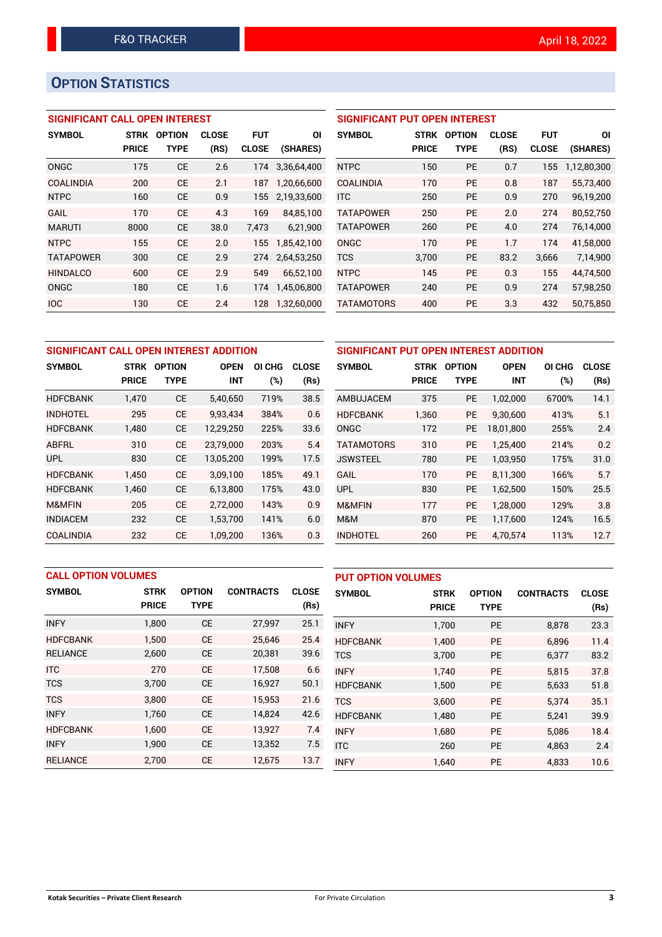# **OPTION STATISTICS**

## **SIGNIFICANT CALL OPEN INTEREST**

| <b>SYMBOL</b>    | <b>STRK</b>  | <b>OPTION</b> | <b>CLOSE</b> | FUT          | ΟI          |
|------------------|--------------|---------------|--------------|--------------|-------------|
|                  | <b>PRICE</b> | TYPE          | (RS)         | <b>CLOSE</b> | (SHARES)    |
| ONGC             | 175          | <b>CE</b>     | 2.6          | 174          | 3,36,64,400 |
| <b>COALINDIA</b> | 200          | <b>CE</b>     | 2.1          | 187          | 1,20,66,600 |
| NTPC             | 160          | <b>CE</b>     | 0.9          | 155          | 2,19,33,600 |
| GAIL             | 170          | CF            | 4.3          | 169          | 84,85,100   |
| <b>MARUTI</b>    | 8000         | CE            | 38.0         | 7.473        | 6,21,900    |
| <b>NTPC</b>      | 155          | CE            | 2.0          | 155          | 1,85,42,100 |
| <b>TATAPOWER</b> | 300          | CE            | 2.9          | 274          | 2,64,53,250 |
| <b>HINDALCO</b>  | 600          | CE            | 2.9          | 549          | 66,52,100   |
| ONGC             | 180          | CE            | 1.6          | 174          | 1,45,06,800 |
| <b>IOC</b>       | 130          | <b>CE</b>     | 2.4          | 128          | 1,32,60,000 |

## **SIGNIFICANT PUT OPEN INTEREST**

| <b>SYMBOL</b>     | <b>STRK</b><br><b>PRICE</b> | <b>OPTION</b><br><b>TYPE</b> | <b>CLOSE</b><br>(RS) | <b>FUT</b><br><b>CLOSE</b> | ΟI<br>(SHARES) |
|-------------------|-----------------------------|------------------------------|----------------------|----------------------------|----------------|
| <b>NTPC</b>       | 150                         | PF                           | 0.7                  | 155                        | 1,12,80,300    |
| <b>COALINDIA</b>  | 170                         | PF                           | 0.8                  | 187                        | 55,73,400      |
| <b>ITC</b>        | 250                         | PF                           | 0.9                  | 270                        | 96,19,200      |
| <b>TATAPOWER</b>  | 250                         | PF                           | 2.0                  | 274                        | 80,52,750      |
| <b>TATAPOWER</b>  | 260                         | <b>PE</b>                    | 4.0                  | 274                        | 76,14,000      |
| ONGC              | 170                         | PF                           | 1.7                  | 174                        | 41.58.000      |
| <b>TCS</b>        | 3,700                       | PF                           | 83.2                 | 3,666                      | 7,14,900       |
| <b>NTPC</b>       | 145                         | <b>PE</b>                    | 0.3                  | 155                        | 44,74,500      |
| <b>TATAPOWER</b>  | 240                         | PF                           | 0.9                  | 274                        | 57,98,250      |
| <b>TATAMOTORS</b> | 400                         | <b>PE</b>                    | 3.3                  | 432                        | 50,75,850      |

| SIGNIFICANT CALL OPEN INTEREST ADDITION |              |               |             |        |              | SIGNIFICANT PUT OPEN INTEREST ADDITION |              |               |             |        |              |
|-----------------------------------------|--------------|---------------|-------------|--------|--------------|----------------------------------------|--------------|---------------|-------------|--------|--------------|
| <b>SYMBOL</b>                           | STRK         | <b>OPTION</b> | <b>OPEN</b> | OI CHG | <b>CLOSE</b> | <b>SYMBOL</b>                          | <b>STRK</b>  | <b>OPTION</b> | <b>OPEN</b> | OI CHG | <b>CLOSE</b> |
|                                         | <b>PRICE</b> | <b>TYPE</b>   | <b>INT</b>  | (%)    | (Rs)         |                                        | <b>PRICE</b> | <b>TYPE</b>   | <b>INT</b>  | (%)    | (Rs)         |
| <b>HDFCBANK</b>                         | 1,470        | <b>CE</b>     | 5,40,650    | 719%   | 38.5         | AMBUJACEM                              | 375          | PE            | 1,02,000    | 6700%  | 14.1         |
| <b>INDHOTEL</b>                         | 295          | <b>CE</b>     | 9.93.434    | 384%   | 0.6          | <b>HDFCBANK</b>                        | 1,360        | PE            | 9.30.600    | 413%   | 5.1          |
| <b>HDFCBANK</b>                         | 1,480        | <b>CE</b>     | 12,29,250   | 225%   | 33.6         | <b>ONGC</b>                            | 172          | <b>PE</b>     | 18,01,800   | 255%   | 2.4          |
| <b>ABFRL</b>                            | 310          | <b>CE</b>     | 23.79.000   | 203%   | 5.4          | <b>TATAMOTORS</b>                      | 310          | <b>PE</b>     | 1.25.400    | 214%   | 0.2          |
| <b>UPL</b>                              | 830          | <b>CE</b>     | 13,05,200   | 199%   | 17.5         | <b>JSWSTEEL</b>                        | 780          | <b>PE</b>     | 1,03,950    | 175%   | 31.0         |
| <b>HDFCBANK</b>                         | 1,450        | <b>CE</b>     | 3,09,100    | 185%   | 49.1         | GAIL                                   | 170          | <b>PE</b>     | 8.11.300    | 166%   | 5.7          |
| <b>HDFCBANK</b>                         | 1,460        | <b>CE</b>     | 6,13,800    | 175%   | 43.0         | <b>UPL</b>                             | 830          | <b>PE</b>     | 1,62,500    | 150%   | 25.5         |
| M&MFIN                                  | 205          | <b>CE</b>     | 2.72.000    | 143%   | 0.9          | M&MFIN                                 | 177          | <b>PE</b>     | 1.28.000    | 129%   | 3.8          |
| <b>INDIACEM</b>                         | 232          | <b>CE</b>     | 1,53,700    | 141%   | 6.0          | M&M                                    | 870          | <b>PE</b>     | 1,17,600    | 124%   | 16.5         |
| <b>COALINDIA</b>                        | 232          | <b>CE</b>     | 1,09,200    | 136%   | 0.3          | <b>INDHOTEL</b>                        | 260          | <b>PE</b>     | 4,70,574    | 113%   | 12.7         |

|                 | <b>CALL OPTION VOLUMES</b> |               |                  |              |                 | <b>PUT OPTION VOLUMES</b> |               |                  |              |  |
|-----------------|----------------------------|---------------|------------------|--------------|-----------------|---------------------------|---------------|------------------|--------------|--|
| <b>SYMBOL</b>   | <b>STRK</b>                | <b>OPTION</b> | <b>CONTRACTS</b> | <b>CLOSE</b> | <b>SYMBOL</b>   | <b>STRK</b>               | <b>OPTION</b> | <b>CONTRACTS</b> | <b>CLOSE</b> |  |
|                 | <b>PRICE</b>               | <b>TYPE</b>   |                  | (Rs)         |                 | <b>PRICE</b>              | <b>TYPE</b>   |                  | (Rs)         |  |
| <b>INFY</b>     | 1,800                      | <b>CE</b>     | 27,997           | 25.1         | <b>INFY</b>     | 1,700                     | <b>PE</b>     | 8,878            | 23.3         |  |
| <b>HDFCBANK</b> | 1.500                      | <b>CE</b>     | 25,646           | 25.4         | <b>HDFCBANK</b> | 1.400                     | <b>PE</b>     | 6.896            | 11.4         |  |
| <b>RELIANCE</b> | 2,600                      | <b>CE</b>     | 20,381           | 39.6         | <b>TCS</b>      | 3,700                     | <b>PE</b>     | 6,377            | 83.2         |  |
| <b>ITC</b>      | 270                        | <b>CE</b>     | 17.508           | 6.6          | <b>INFY</b>     | 1.740                     | <b>PE</b>     | 5.815            | 37.8         |  |
| <b>TCS</b>      | 3,700                      | <b>CE</b>     | 16,927           | 50.1         | <b>HDFCBANK</b> | 1,500                     | <b>PE</b>     | 5,633            | 51.8         |  |
| <b>TCS</b>      | 3,800                      | <b>CE</b>     | 15,953           | 21.6         | <b>TCS</b>      | 3.600                     | <b>PE</b>     | 5,374            | 35.1         |  |
| <b>INFY</b>     | 1,760                      | <b>CE</b>     | 14,824           | 42.6         | <b>HDFCBANK</b> | 1,480                     | <b>PE</b>     | 5,241            | 39.9         |  |
| <b>HDFCBANK</b> | 1.600                      | <b>CE</b>     | 13.927           | 7.4          | <b>INFY</b>     | 1,680                     | <b>PE</b>     | 5,086            | 18.4         |  |
| <b>INFY</b>     | 1,900                      | <b>CE</b>     | 13,352           | 7.5          | <b>ITC</b>      | 260                       | <b>PE</b>     | 4,863            | 2.4          |  |
| <b>RELIANCE</b> | 2,700                      | <b>CE</b>     | 12,675           | 13.7         | <b>INFY</b>     | 1,640                     | <b>PE</b>     | 4,833            | 10.6         |  |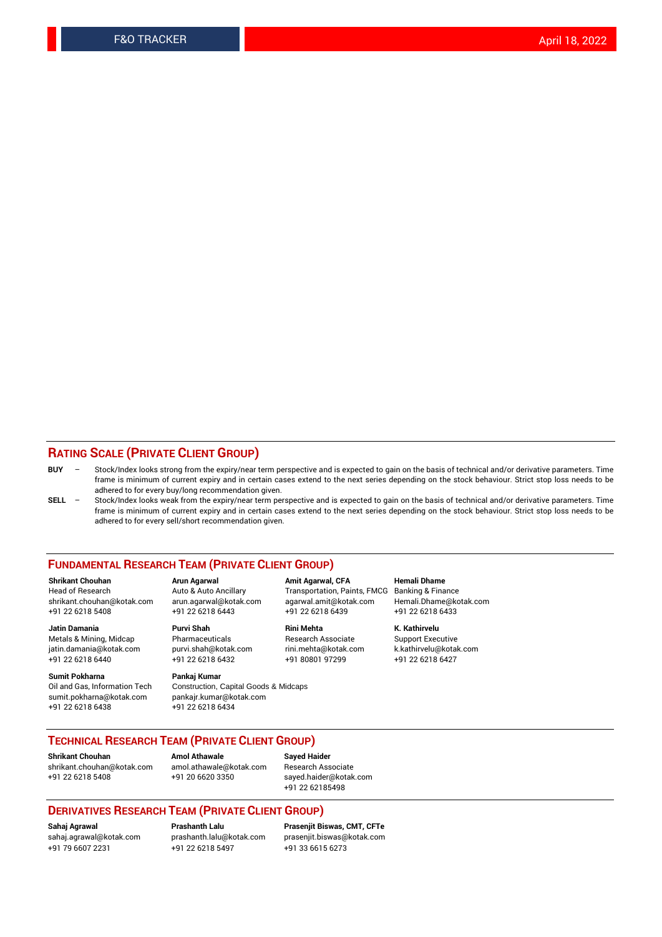#### **RATING SCALE (PRIVATE CLIENT GROUP)**

- **BUY**  Stock/Index looks strong from the expiry/near term perspective and is expected to gain on the basis of technical and/or derivative parameters. Time frame is minimum of current expiry and in certain cases extend to the next series depending on the stock behaviour. Strict stop loss needs to be adhered to for every buy/long recommendation given.
- **SELL** Stock/Index looks weak from the expiry/near term perspective and is expected to gain on the basis of technical and/or derivative parameters. Time frame is minimum of current expiry and in certain cases extend to the next series depending on the stock behaviour. Strict stop loss needs to be adhered to for every sell/short recommendation given.

#### **FUNDAMENTAL RESEARCH TEAM (PRIVATE CLIENT GROUP)**

**Shrikant Chouhan Arun Agarwal Amit Agarwal, CFA Hemali Dhame** shrikant.chouhan@kotak.com arun.agarwal@kotak.com agarwal.amit@kotak.com Hemali.Dhame@kotak.com +91 22 6218 5408 +91 22 6218 6443 +91 22 6218 6439 +91 22 6218 6433

Metals & Mining, Midcap Pharmaceuticals Pharmaceuticals Research Associate Support Executive<br>
iatin.damania@kotak.com purvi.shah@kotak.com rini.mehta@kotak.com k.kathirvelu@kotak.com jatin.damania@kotak.com

**Sumit Pokharna** Pankaj Kumar<br>Oil and Gas, Information Tech Construction, sumit.pokharna@kotak.com pankajr.kumar@kotak.com +91 22 6218 6438 +91 22 6218 6434

Construction, Capital Goods & Midcaps

Transportation, Paints, FMCG

**Jatin Damania Purvi Shah Rini Mehta K. Kathirvelu** +91 22 6218 6440 +91 22 6218 6432 +91 80801 97299 +91 22 6218 6427

### **TECHNICAL RESEARCH TEAM (PRIVATE CLIENT GROUP)**

**Shrikant Chouhan Amol Athawale Sayed Haider** [shrikant.chouhan@kotak.com](mailto:shrikant.chouhan@kotak.com) [amol.athawale@kotak.com](mailto:amol.athawale@kotak.com) Research Associate +91 22 6218 5408 +91 20 6620 3350 [sayed.haider@kotak.com](mailto:sayed.haider@kotak.com)

+91 22 62185498

#### **DERIVATIVES RESEARCH TEAM (PRIVATE CLIENT GROUP)**

+91 79 6607 2231 +91 22 6218 5497 +91 33 6615 6273

**Sahaj Agrawal Prashanth Lalu Prasenjit Biswas, CMT, CFTe** [prasenjit.biswas@kotak.com](mailto:prasenjit.biswas@kotak.com)